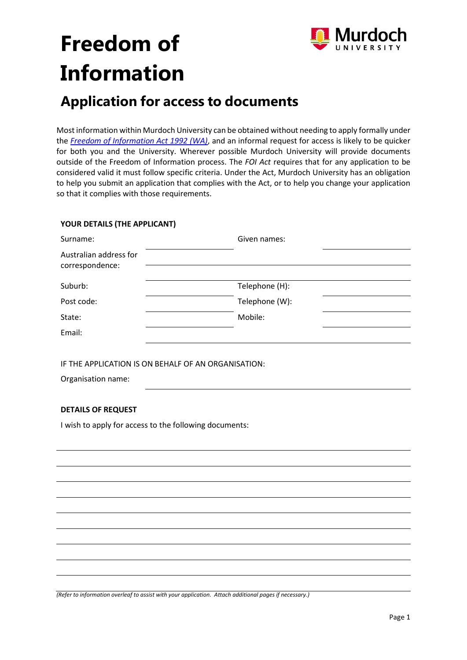

# **Freedom of Information**

## **Application for access to documents**

Most information within Murdoch University can be obtained without needing to apply formally under the *[Freedom of Information Act 1992 \(WA\)](https://www.slp.wa.gov.au/legislation/statutes.nsf/main_mrtitle_353_homepage.html)*, and an informal request for access is likely to be quicker for both you and the University. Wherever possible Murdoch University will provide documents outside of the Freedom of Information process. The *FOI Act* requires that for any application to be considered valid it must follow specific criteria. Under the Act, Murdoch University has an obligation to help you submit an application that complies with the Act, or to help you change your application so that it complies with those requirements.

### **YOUR DETAILS (THE APPLICANT)**

| Surname:                                               | Given names:   |  |
|--------------------------------------------------------|----------------|--|
| Australian address for<br>correspondence:              |                |  |
|                                                        |                |  |
| Suburb:                                                | Telephone (H): |  |
| Post code:                                             | Telephone (W): |  |
| State:                                                 | Mobile:        |  |
| Email:                                                 |                |  |
|                                                        |                |  |
| IF THE APPLICATION IS ON BEHALF OF AN ORGANISATION:    |                |  |
| Organisation name:                                     |                |  |
|                                                        |                |  |
| <b>DETAILS OF REQUEST</b>                              |                |  |
| I wish to apply for access to the following documents: |                |  |
|                                                        |                |  |
|                                                        |                |  |
|                                                        |                |  |
|                                                        |                |  |
|                                                        |                |  |
|                                                        |                |  |
|                                                        |                |  |
|                                                        |                |  |
|                                                        |                |  |
|                                                        |                |  |

*(Refer to information overleaf to assist with your application. Attach additional pages if necessary.)*